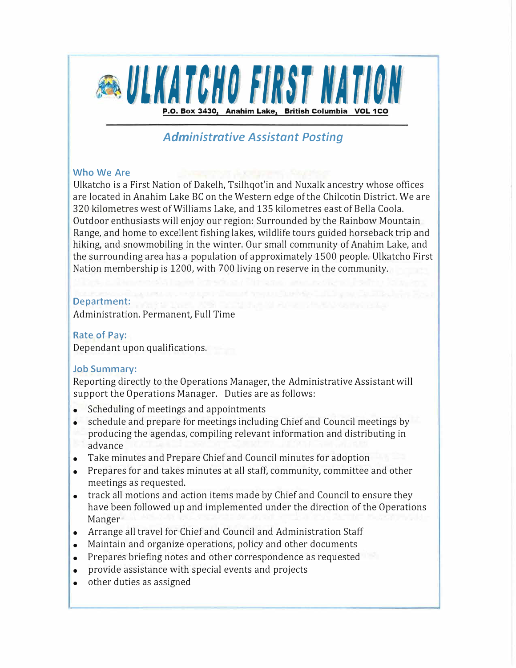

# *Administrative Assistant Posting*

#### **Who We Are**

Ulkatcho is a First Nation of Dakelh, Tsilhqot'in and Nuxalk ancestry whose offices are located in Anahim Lake BC on the Western edge of the Chilcotin District. We are 320 kilometres west of Williams Lake, and 135 kilometres east of Bella Coola. Outdoor enthusiasts will enjoy our region: Surrounded by the Rainbow Mountain Range, and home to excellent fishing lakes, wildlife tours guided horseback trip and hiking, and snowmobiling in the winter. Our small community of Anahim Lake, and the surrounding area has a population of approximately 1500 people. Ulkatcho First Nation membership is 1200, with 700 living on reserve in the community.

## **Department:**

Administration. Permanent, Full Time

#### **Rate of Pay:**

Dependant upon qualifications.

## **Job Summary:**

Reporting directly to the Operations Manager, the Administrative Assistant will support the Operations Manager. Duties are as follows:

- Scheduling of meetings and appointments
- schedule and prepare for meetings including Chief and Council meetings by producing the agendas, compiling relevant information and distributing in advance
- Take minutes and Prepare Chief and Council minutes for adoption
- Prepares for and takes minutes at all staff, community, committee and other meetings as requested.
- track all motions and action items made by Chief and Council to ensure they have been followed up and implemented under the direction of the Operations Manger
- Arrange all travel for Chief and Council and Administration Staff
- Maintain and organize operations, policy and other documents
- Prepares briefing notes and other correspondence as requested
- provide assistance with special events and projects
- other duties as assigned